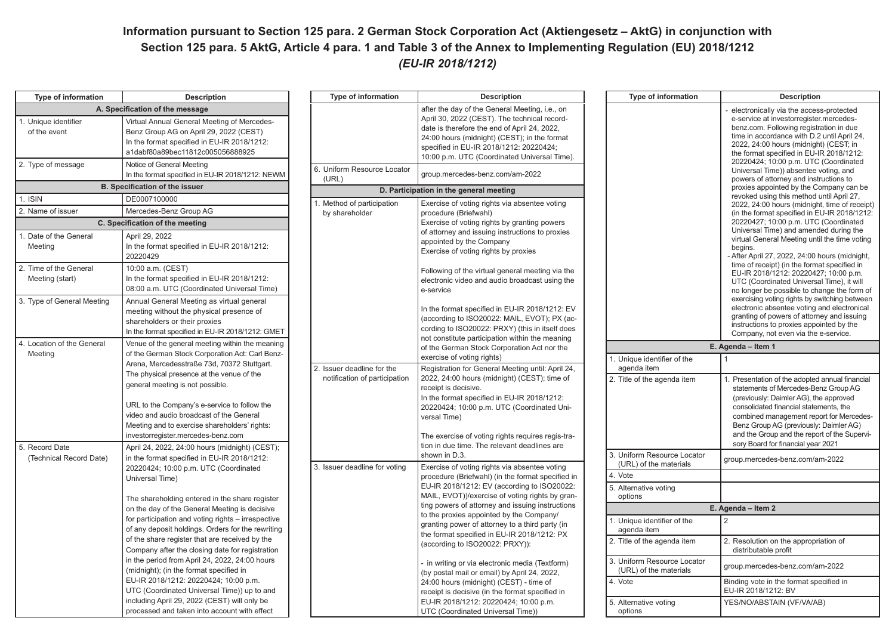## **Information pursuant to Section 125 para. 2 German Stock Corporation Act (Aktiengesetz – AktG) in conjunction with Section 125 para. 5 AktG, Article 4 para. 1 and Table 3 of the Annex to Implementing Regulation (EU) 2018/1212**  *(EU-IR 2018/1212)*

**Description** electronically via the access-protected e-service at investorregister.mercedes- benz.com. Following registration in due time in accordance with D.2 until April 24, 2022, 24:00 hours (midnight) (CEST; in the format specified in EU-IR 2018/1212: 20220424; 10:00 p.m. UTC (Coordinated Universal Time)) absentee voting, and powers of attorney and instructions to proxies appointed by the Company can be revoked using this method until April 27, 2022, 24:00 hours (midnight, time of receipt) (in the format specified in EU-IR 2018/1212: 20220427; 10:00 p.m. UTC (Coordinated Universal Time) and amended during the virtual General Meeting until the time voting

- After April 27, 2022, 24:00 hours (midnight, time of receipt) (in the format specified in EU-IR 2018/1212: 20220427; 10:00 p.m. UTC (Coordinated Universal Time), it will no longer be possible to change the form of exercising voting rights by switching between electronic absentee voting and electronical granting of powers of attorney and issuing instructions to proxies appointed by the Company, not even via the e-service.

1. Presentation of the adopted annual financial statements of Mercedes-Benz Group AG (previously: Daimler AG), the approved consolidated financial statements, the combined management report for Mercedes- Benz Group AG (previously: Daimler AG) and the Group and the report of the Supervi- sory Board for financial year 2021

| <b>Type of information</b>                                                                                                                                                                                                                                                                                                                                                    | <b>Description</b>                                                                                                                                                         | Type of information                                                                                                                                                                                                                                                                         | <b>Description</b>                                                                                                                                                                                                                      | Type of information                                                                                                                                                                                                                                                     | <b>Description</b>                                                                                                                                                                                 |
|-------------------------------------------------------------------------------------------------------------------------------------------------------------------------------------------------------------------------------------------------------------------------------------------------------------------------------------------------------------------------------|----------------------------------------------------------------------------------------------------------------------------------------------------------------------------|---------------------------------------------------------------------------------------------------------------------------------------------------------------------------------------------------------------------------------------------------------------------------------------------|-----------------------------------------------------------------------------------------------------------------------------------------------------------------------------------------------------------------------------------------|-------------------------------------------------------------------------------------------------------------------------------------------------------------------------------------------------------------------------------------------------------------------------|----------------------------------------------------------------------------------------------------------------------------------------------------------------------------------------------------|
|                                                                                                                                                                                                                                                                                                                                                                               | A. Specification of the message                                                                                                                                            |                                                                                                                                                                                                                                                                                             | after the day of the General Meeting, i.e., on                                                                                                                                                                                          |                                                                                                                                                                                                                                                                         | electronically via the access-proted                                                                                                                                                               |
| 1. Unique identifier<br>of the event                                                                                                                                                                                                                                                                                                                                          | Virtual Annual General Meeting of Mercedes-<br>Benz Group AG on April 29, 2022 (CEST)<br>In the format specified in EU-IR 2018/1212:<br>a1dabf80a89bec11812c005056888925   |                                                                                                                                                                                                                                                                                             | April 30, 2022 (CEST). The technical record-<br>date is therefore the end of April 24, 2022,<br>24:00 hours (midnight) (CEST); in the format<br>specified in EU-IR 2018/1212: 20220424;<br>10:00 p.m. UTC (Coordinated Universal Time). |                                                                                                                                                                                                                                                                         | e-service at investorregister.merced<br>benz.com. Following registration in<br>time in accordance with D.2 until Ap<br>2022, 24:00 hours (midnight) (CES)<br>the format specified in EU-IR 2018/   |
| 2. Type of message                                                                                                                                                                                                                                                                                                                                                            | Notice of General Meeting<br>In the format specified in EU-IR 2018/1212: NEWM                                                                                              | 6. Uniform Resource Locator<br>(URL)                                                                                                                                                                                                                                                        | group.mercedes-benz.com/am-2022                                                                                                                                                                                                         |                                                                                                                                                                                                                                                                         | 20220424; 10:00 p.m. UTC (Coordi<br>Universal Time)) absentee voting, a<br>powers of attorney and instructions                                                                                     |
|                                                                                                                                                                                                                                                                                                                                                                               | <b>B. Specification of the issuer</b>                                                                                                                                      |                                                                                                                                                                                                                                                                                             | D. Participation in the general meeting                                                                                                                                                                                                 |                                                                                                                                                                                                                                                                         | proxies appointed by the Company                                                                                                                                                                   |
| 1. ISIN                                                                                                                                                                                                                                                                                                                                                                       | DE0007100000                                                                                                                                                               | 1. Method of participation                                                                                                                                                                                                                                                                  | Exercise of voting rights via absentee voting                                                                                                                                                                                           |                                                                                                                                                                                                                                                                         | revoked using this method until Apr<br>2022, 24:00 hours (midnight, time o                                                                                                                         |
| 2. Name of issuer                                                                                                                                                                                                                                                                                                                                                             | Mercedes-Benz Group AG                                                                                                                                                     | by shareholder                                                                                                                                                                                                                                                                              | procedure (Briefwahl)                                                                                                                                                                                                                   |                                                                                                                                                                                                                                                                         | (in the format specified in EU-IR 20                                                                                                                                                               |
|                                                                                                                                                                                                                                                                                                                                                                               | C. Specification of the meeting                                                                                                                                            |                                                                                                                                                                                                                                                                                             | Exercise of voting rights by granting powers                                                                                                                                                                                            |                                                                                                                                                                                                                                                                         | 20220427; 10:00 p.m. UTC (Coordi<br>Universal Time) and amended durin                                                                                                                              |
| 1. Date of the General<br>Meeting                                                                                                                                                                                                                                                                                                                                             | April 29, 2022<br>In the format specified in EU-IR 2018/1212:<br>20220429                                                                                                  |                                                                                                                                                                                                                                                                                             | of attorney and issuing instructions to proxies<br>appointed by the Company<br>Exercise of voting rights by proxies                                                                                                                     |                                                                                                                                                                                                                                                                         | virtual General Meeting until the tim<br>begins.<br>After April 27, 2022, 24:00 hours (m                                                                                                           |
| 2. Time of the General<br>Meeting (start)                                                                                                                                                                                                                                                                                                                                     | 10:00 a.m. (CEST)<br>In the format specified in EU-IR 2018/1212:<br>08:00 a.m. UTC (Coordinated Universal Time)                                                            |                                                                                                                                                                                                                                                                                             | Following of the virtual general meeting via the<br>electronic video and audio broadcast using the<br>e-service                                                                                                                         |                                                                                                                                                                                                                                                                         | time of receipt) (in the format specif<br>EU-IR 2018/1212: 20220427; 10:00<br>UTC (Coordinated Universal Time),<br>no longer be possible to change the                                             |
| 3. Type of General Meeting                                                                                                                                                                                                                                                                                                                                                    | Annual General Meeting as virtual general<br>meeting without the physical presence of<br>shareholders or their proxies<br>In the format specified in EU-IR 2018/1212: GMET |                                                                                                                                                                                                                                                                                             | In the format specified in EU-IR 2018/1212: EV<br>(according to ISO20022: MAIL, EVOT); PX (ac-<br>cording to ISO20022: PRXY) (this in itself does                                                                                       |                                                                                                                                                                                                                                                                         | exercising voting rights by switching<br>electronic absentee voting and elec<br>granting of powers of attorney and i<br>instructions to proxies appointed by<br>Company, not even via the e-servic |
| 4. Location of the General                                                                                                                                                                                                                                                                                                                                                    | Venue of the general meeting within the meaning                                                                                                                            |                                                                                                                                                                                                                                                                                             | not constitute participation within the meaning<br>of the German Stock Corporation Act nor the                                                                                                                                          |                                                                                                                                                                                                                                                                         | E. Agenda - Item 1                                                                                                                                                                                 |
| Meeting<br>of the German Stock Corporation Act: Carl Benz-<br>Arena, Mercedesstraße 73d, 70372 Stuttgart.<br>The physical presence at the venue of the<br>general meeting is not possible.<br>URL to the Company's e-service to follow the<br>video and audio broadcast of the General<br>Meeting and to exercise shareholders' rights:<br>investorregister.mercedes-benz.com |                                                                                                                                                                            |                                                                                                                                                                                                                                                                                             | exercise of voting rights)                                                                                                                                                                                                              | 1. Unique identifier of the<br>agenda item                                                                                                                                                                                                                              |                                                                                                                                                                                                    |
|                                                                                                                                                                                                                                                                                                                                                                               | 2. Issuer deadline for the<br>notification of participation                                                                                                                | Registration for General Meeting until: April 24,<br>2022, 24:00 hours (midnight) (CEST); time of<br>receipt is decisive.<br>In the format specified in EU-IR 2018/1212:<br>20220424; 10:00 p.m. UTC (Coordinated Uni-<br>versal Time)<br>The exercise of voting rights requires regis-tra- | 2. Title of the agenda item                                                                                                                                                                                                             | Presentation of the adopted annual<br>statements of Mercedes-Benz Grou<br>(previously: Daimler AG), the approv<br>consolidated financial statements, th<br>combined management report for M<br>Benz Group AG (previously: Daimle<br>and the Group and the report of the |                                                                                                                                                                                                    |
| 5. Record Date                                                                                                                                                                                                                                                                                                                                                                | April 24, 2022, 24:00 hours (midnight) (CEST);                                                                                                                             |                                                                                                                                                                                                                                                                                             | tion in due time. The relevant deadlines are                                                                                                                                                                                            |                                                                                                                                                                                                                                                                         | sory Board for financial year 2021                                                                                                                                                                 |
| (Technical Record Date)                                                                                                                                                                                                                                                                                                                                                       | in the format specified in EU-IR 2018/1212:<br>20220424; 10:00 p.m. UTC (Coordinated                                                                                       | 3. Issuer deadline for voting                                                                                                                                                                                                                                                               | shown in D.3.<br>Exercise of voting rights via absentee voting                                                                                                                                                                          | 3. Uniform Resource Locator<br>(URL) of the materials                                                                                                                                                                                                                   | group.mercedes-benz.com/am-2022                                                                                                                                                                    |
|                                                                                                                                                                                                                                                                                                                                                                               | Universal Time)                                                                                                                                                            |                                                                                                                                                                                                                                                                                             | procedure (Briefwahl) (in the format specified in                                                                                                                                                                                       | 4. Vote                                                                                                                                                                                                                                                                 |                                                                                                                                                                                                    |
|                                                                                                                                                                                                                                                                                                                                                                               | The shareholding entered in the share register                                                                                                                             |                                                                                                                                                                                                                                                                                             | EU-IR 2018/1212: EV (according to ISO20022:<br>MAIL, EVOT))/exercise of voting rights by gran-                                                                                                                                          | 5. Alternative voting<br>options                                                                                                                                                                                                                                        |                                                                                                                                                                                                    |
|                                                                                                                                                                                                                                                                                                                                                                               | on the day of the General Meeting is decisive                                                                                                                              |                                                                                                                                                                                                                                                                                             | ting powers of attorney and issuing instructions                                                                                                                                                                                        |                                                                                                                                                                                                                                                                         | E. Agenda - Item 2                                                                                                                                                                                 |
|                                                                                                                                                                                                                                                                                                                                                                               | for participation and voting rights - irrespective<br>of any deposit holdings. Orders for the rewriting                                                                    |                                                                                                                                                                                                                                                                                             | to the proxies appointed by the Company/<br>granting power of attorney to a third party (in<br>the format specified in EU-IR 2018/1212: PX                                                                                              | Unique identifier of the<br>agenda item                                                                                                                                                                                                                                 | <u>  2</u>                                                                                                                                                                                         |
|                                                                                                                                                                                                                                                                                                                                                                               | of the share register that are received by the<br>Company after the closing date for registration                                                                          |                                                                                                                                                                                                                                                                                             | (according to ISO20022: PRXY)):                                                                                                                                                                                                         | 2. Title of the agenda item                                                                                                                                                                                                                                             | 2. Resolution on the appropriation of<br>distributable profit                                                                                                                                      |
|                                                                                                                                                                                                                                                                                                                                                                               | in the period from April 24, 2022, 24:00 hours<br>(midnight); (in the format specified in                                                                                  |                                                                                                                                                                                                                                                                                             | - in writing or via electronic media (Textform)<br>(by postal mail or email) by April 24, 2022,                                                                                                                                         | 3. Uniform Resource Locator<br>(URL) of the materials                                                                                                                                                                                                                   | group.mercedes-benz.com/am-2022                                                                                                                                                                    |
|                                                                                                                                                                                                                                                                                                                                                                               | EU-IR 2018/1212: 20220424; 10:00 p.m.<br>UTC (Coordinated Universal Time)) up to and                                                                                       |                                                                                                                                                                                                                                                                                             | 24:00 hours (midnight) (CEST) - time of<br>receipt is decisive (in the format specified in                                                                                                                                              | 4. Vote                                                                                                                                                                                                                                                                 | Binding vote in the format specified in<br>EU-IR 2018/1212: BV                                                                                                                                     |
|                                                                                                                                                                                                                                                                                                                                                                               | including April 29, 2022 (CEST) will only be<br>processed and taken into account with effect                                                                               |                                                                                                                                                                                                                                                                                             | EU-IR 2018/1212: 20220424; 10:00 p.m.<br>UTC (Coordinated Universal Time))                                                                                                                                                              | 5. Alternative voting<br>options                                                                                                                                                                                                                                        | YES/NO/ABSTAIN (VF/VA/AB)                                                                                                                                                                          |